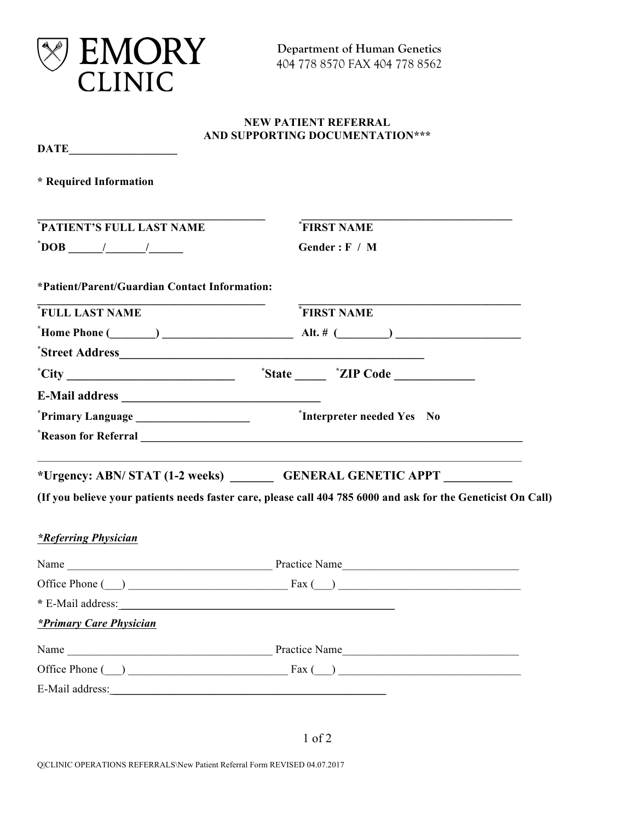

|                                                                                                                                            | <b>NEW PATIENT REFERRAL</b><br>AND SUPPORTING DOCUMENTATION***                                                                                                                                                                                                                                                                             |
|--------------------------------------------------------------------------------------------------------------------------------------------|--------------------------------------------------------------------------------------------------------------------------------------------------------------------------------------------------------------------------------------------------------------------------------------------------------------------------------------------|
| $\overline{\text{DATE}}$                                                                                                                   |                                                                                                                                                                                                                                                                                                                                            |
| * Required Information                                                                                                                     |                                                                                                                                                                                                                                                                                                                                            |
| *PATIENT'S FULL LAST NAME                                                                                                                  | <b>FIRST NAME</b>                                                                                                                                                                                                                                                                                                                          |
|                                                                                                                                            | Gender: F / M                                                                                                                                                                                                                                                                                                                              |
| *Patient/Parent/Guardian Contact Information:                                                                                              |                                                                                                                                                                                                                                                                                                                                            |
| <b>FULL LAST NAME</b>                                                                                                                      | FIRST NAME                                                                                                                                                                                                                                                                                                                                 |
|                                                                                                                                            | $\text{"Home Phone}(\_\_\_\_)\_\_\_\_\_$ Alt. # $(\_\_\_\_\_)\_\_\_\_\_\_$                                                                                                                                                                                                                                                                 |
|                                                                                                                                            |                                                                                                                                                                                                                                                                                                                                            |
| $\text{"City}$ $\_\_\_\_\_\_\_\_\_\_\_\_\_\_\_\_\_\_\_\_\_\_\_ \$                                                                          |                                                                                                                                                                                                                                                                                                                                            |
|                                                                                                                                            |                                                                                                                                                                                                                                                                                                                                            |
|                                                                                                                                            | *Interpreter needed Yes No                                                                                                                                                                                                                                                                                                                 |
|                                                                                                                                            |                                                                                                                                                                                                                                                                                                                                            |
|                                                                                                                                            | *Urgency: ABN/STAT (1-2 weeks) ________ GENERAL GENETIC APPT __________                                                                                                                                                                                                                                                                    |
|                                                                                                                                            | (If you believe your patients needs faster care, please call 404 785 6000 and ask for the Geneticist On Call)                                                                                                                                                                                                                              |
| <i>*Referring Physician</i>                                                                                                                |                                                                                                                                                                                                                                                                                                                                            |
|                                                                                                                                            |                                                                                                                                                                                                                                                                                                                                            |
| Office Phone $(\_)$ Fax $(\_)$                                                                                                             |                                                                                                                                                                                                                                                                                                                                            |
| * E-Mail address:<br><u> 1989 - Andrea Aonaichte, ann an t-Èireann an t-Èireann an t-Èireann an t-Èireann an t-Èireann an t-Èireann an</u> |                                                                                                                                                                                                                                                                                                                                            |
| *Primary Care Physician                                                                                                                    |                                                                                                                                                                                                                                                                                                                                            |
|                                                                                                                                            |                                                                                                                                                                                                                                                                                                                                            |
|                                                                                                                                            | Office Phone $(\_)$ $\qquad \qquad$ $\qquad \qquad$ $\qquad$ $\qquad$ $\qquad$ $\qquad$ $\qquad$ $\qquad$ $\qquad$ $\qquad$ $\qquad$ $\qquad$ $\qquad$ $\qquad$ $\qquad$ $\qquad$ $\qquad$ $\qquad$ $\qquad$ $\qquad$ $\qquad$ $\qquad$ $\qquad$ $\qquad$ $\qquad$ $\qquad$ $\qquad$ $\qquad$ $\qquad$ $\qquad$ $\qquad$ $\qquad$ $\qquad$ |
|                                                                                                                                            |                                                                                                                                                                                                                                                                                                                                            |

1 of 2